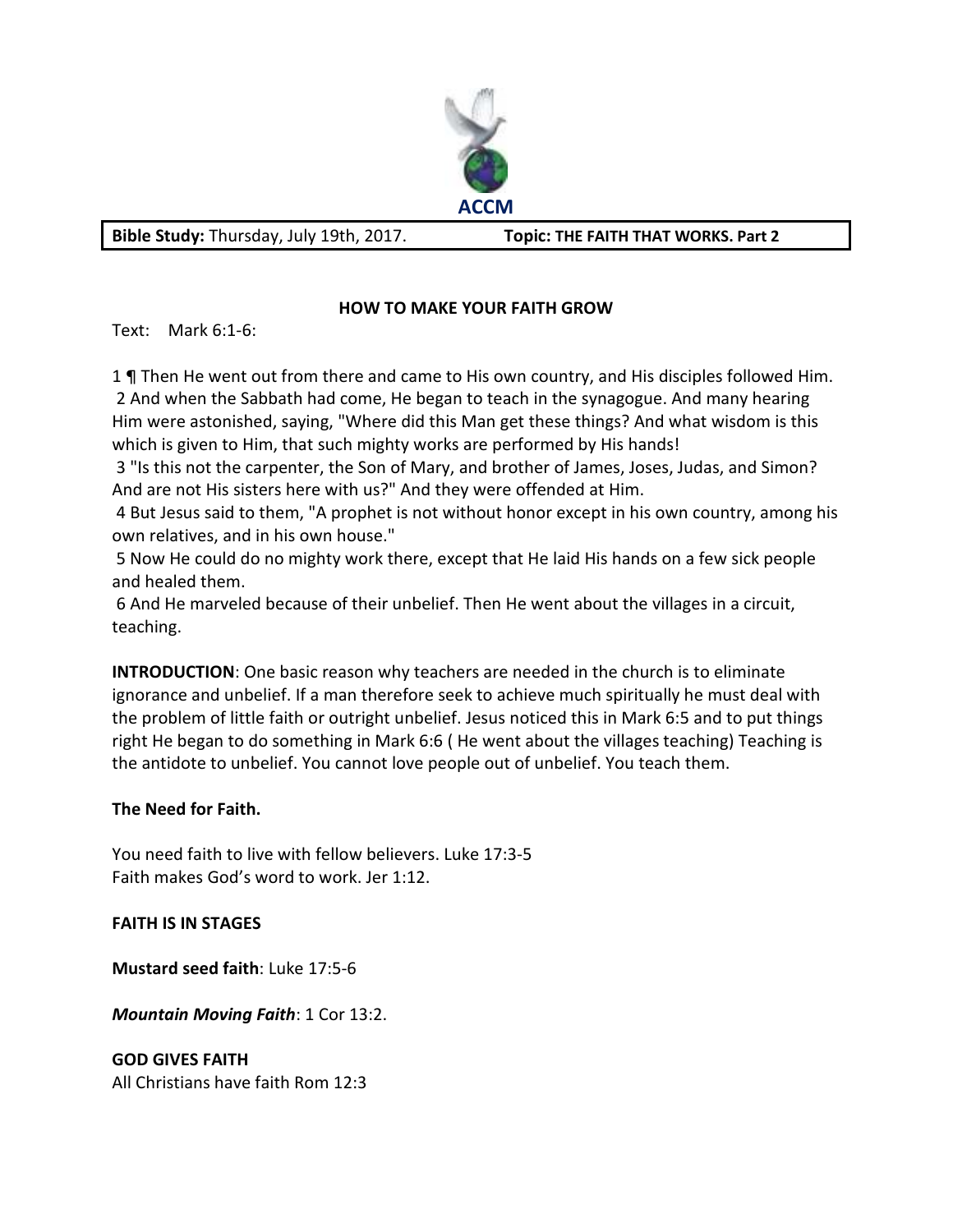

Bible Study: Thursday, July 19th, 2017. **Topic: THE FAITH THAT WORKS. Part 2** 

## **HOW TO MAKE YOUR FAITH GROW**

Text: Mark 6:1-6:

1 **¶** Then He went out from there and came to His own country, and His disciples followed Him. 2 And when the Sabbath had come, He began to teach in the synagogue. And many hearing Him were astonished, saying, "Where did this Man get these things? And what wisdom is this which is given to Him, that such mighty works are performed by His hands!

 3 "Is this not the carpenter, the Son of Mary, and brother of James, Joses, Judas, and Simon? And are not His sisters here with us?" And they were offended at Him.

 4 But Jesus said to them, "A prophet is not without honor except in his own country, among his own relatives, and in his own house."

 5 Now He could do no mighty work there, except that He laid His hands on a few sick people and healed them.

 6 And He marveled because of their unbelief. Then He went about the villages in a circuit, teaching.

**INTRODUCTION**: One basic reason why teachers are needed in the church is to eliminate ignorance and unbelief. If a man therefore seek to achieve much spiritually he must deal with the problem of little faith or outright unbelief. Jesus noticed this in Mark 6:5 and to put things right He began to do something in Mark 6:6 ( He went about the villages teaching) Teaching is the antidote to unbelief. You cannot love people out of unbelief. You teach them.

### **The Need for Faith.**

You need faith to live with fellow believers. Luke 17:3-5 Faith makes God's word to work. Jer 1:12.

### **FAITH IS IN STAGES**

**Mustard seed faith**: Luke 17:5-6

*Mountain Moving Faith*: 1 Cor 13:2.

**GOD GIVES FAITH**  All Christians have faith Rom 12:3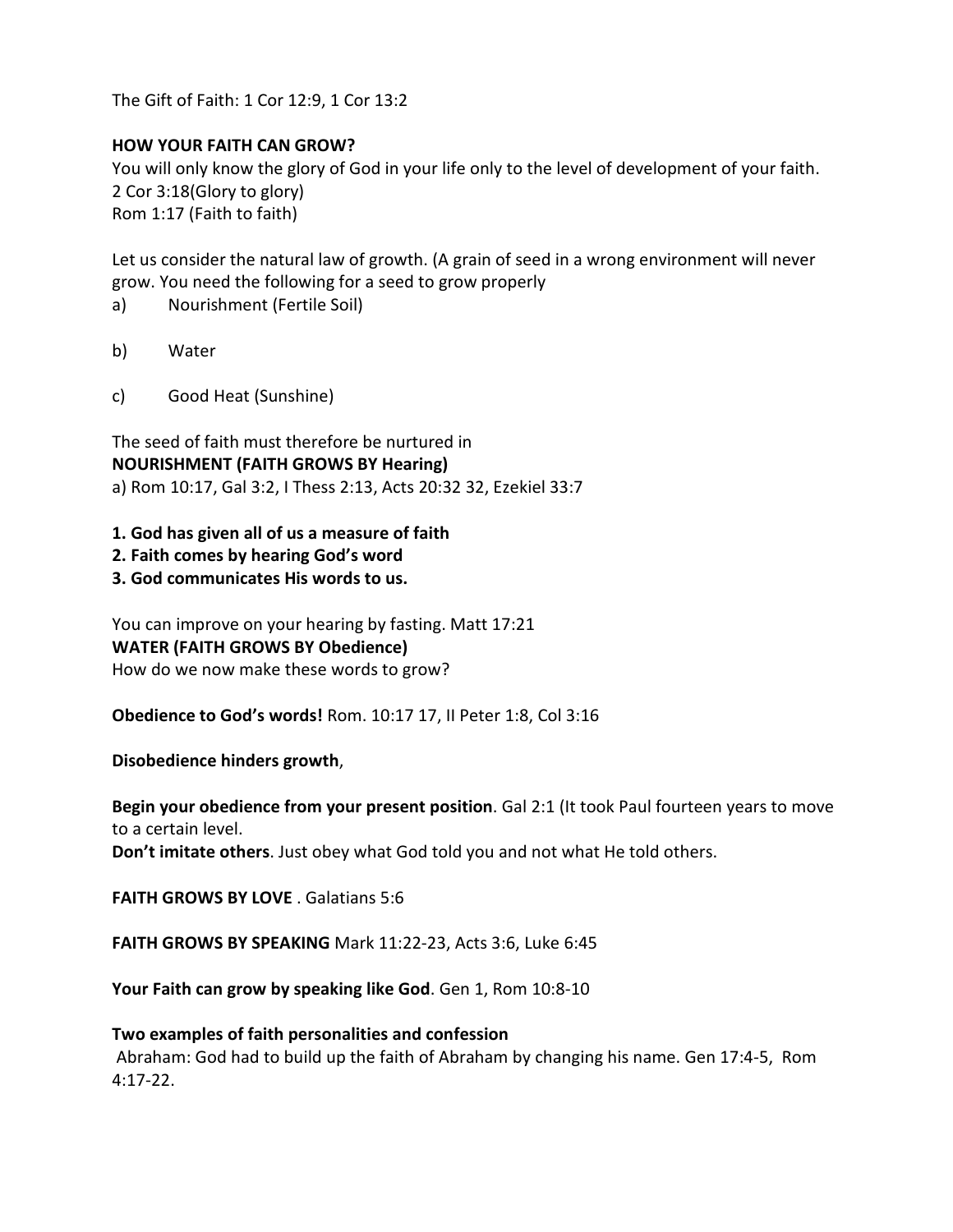The Gift of Faith: 1 Cor 12:9, 1 Cor 13:2

#### **HOW YOUR FAITH CAN GROW?**

You will only know the glory of God in your life only to the level of development of your faith. 2 Cor 3:18(Glory to glory) Rom 1:17 (Faith to faith)

Let us consider the natural law of growth. (A grain of seed in a wrong environment will never grow. You need the following for a seed to grow properly

- a) Nourishment (Fertile Soil)
- b) Water
- c) Good Heat (Sunshine)

The seed of faith must therefore be nurtured in **NOURISHMENT (FAITH GROWS BY Hearing)**  a) Rom 10:17, Gal 3:2, I Thess 2:13, Acts 20:32 32, Ezekiel 33:7

- **1. God has given all of us a measure of faith**
- **2. Faith comes by hearing God's word**
- **3. God communicates His words to us.**

You can improve on your hearing by fasting. Matt 17:21 **WATER (FAITH GROWS BY Obedience)**  How do we now make these words to grow?

**Obedience to God's words!** Rom. 10:17 17, II Peter 1:8, Col 3:16

**Disobedience hinders growth**,

**Begin your obedience from your present position**. Gal 2:1 (It took Paul fourteen years to move to a certain level.

**Don't imitate others**. Just obey what God told you and not what He told others.

**FAITH GROWS BY LOVE** . Galatians 5:6

**FAITH GROWS BY SPEAKING** Mark 11:22-23, Acts 3:6, Luke 6:45

**Your Faith can grow by speaking like God**. Gen 1, Rom 10:8-10

**Two examples of faith personalities and confession**  Abraham: God had to build up the faith of Abraham by changing his name. Gen 17:4-5, Rom 4:17-22.